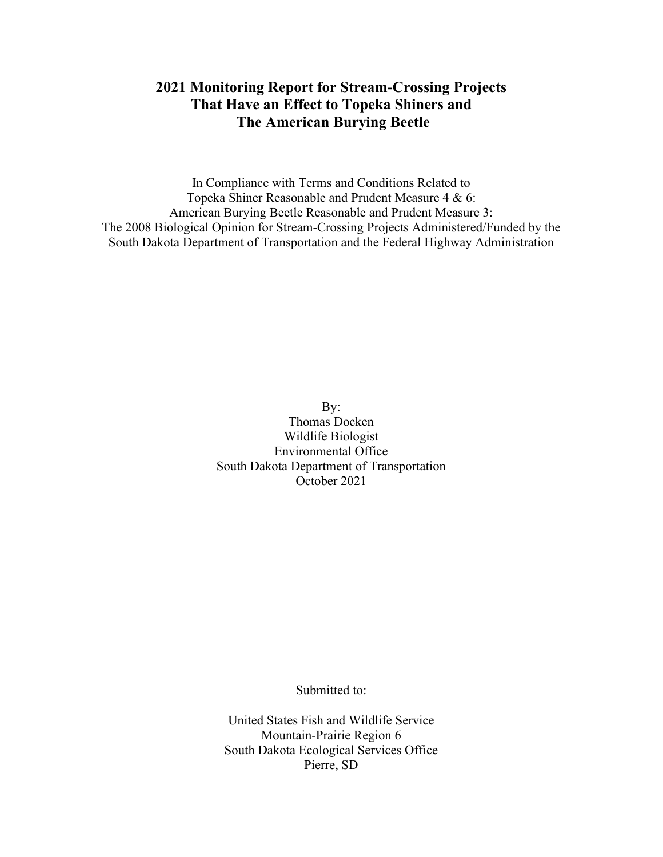# **2021 Monitoring Report for Stream-Crossing Projects That Have an Effect to Topeka Shiners and The American Burying Beetle**

In Compliance with Terms and Conditions Related to Topeka Shiner Reasonable and Prudent Measure 4 & 6: American Burying Beetle Reasonable and Prudent Measure 3: The 2008 Biological Opinion for Stream-Crossing Projects Administered/Funded by the South Dakota Department of Transportation and the Federal Highway Administration

> By: Thomas Docken Wildlife Biologist Environmental Office South Dakota Department of Transportation October 2021

> > Submitted to:

United States Fish and Wildlife Service Mountain-Prairie Region 6 South Dakota Ecological Services Office Pierre, SD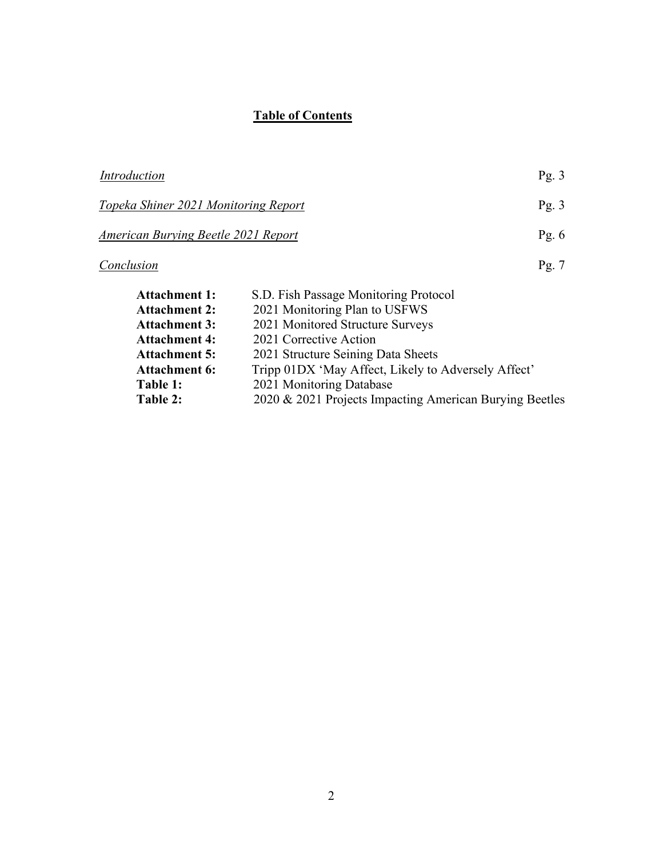# **Table of Contents**

| Introduction                                                                       |                                                     | Pg. $3$            |
|------------------------------------------------------------------------------------|-----------------------------------------------------|--------------------|
| Topeka Shiner 2021 Monitoring Report<br><b>American Burying Beetle 2021 Report</b> |                                                     | Pg. $3$<br>Pg. $6$ |
|                                                                                    |                                                     |                    |
| <b>Attachment 1:</b>                                                               | S.D. Fish Passage Monitoring Protocol               |                    |
| <b>Attachment 2:</b>                                                               | 2021 Monitoring Plan to USFWS                       |                    |
| <b>Attachment 3:</b>                                                               | 2021 Monitored Structure Surveys                    |                    |
| <b>Attachment 4:</b>                                                               | 2021 Corrective Action                              |                    |
| <b>Attachment 5:</b>                                                               | 2021 Structure Seining Data Sheets                  |                    |
| <b>Attachment 6:</b>                                                               | Tripp 01DX 'May Affect, Likely to Adversely Affect' |                    |
| Table 1:                                                                           | 2021 Monitoring Database                            |                    |

# **Table 2:** 2020 & 2021 Projects Impacting American Burying Beetles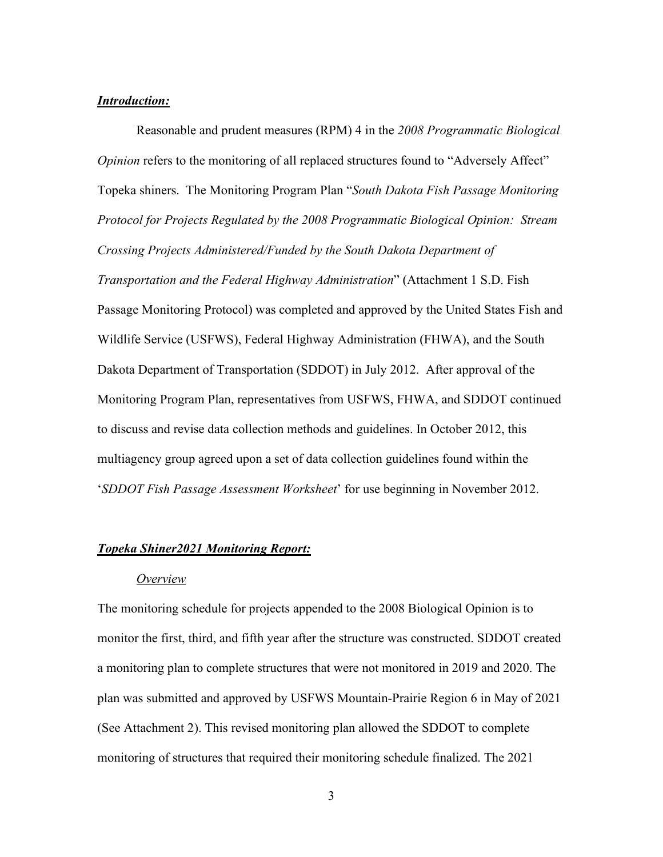## *Introduction:*

Reasonable and prudent measures (RPM) 4 in the *2008 Programmatic Biological Opinion* refers to the monitoring of all replaced structures found to "Adversely Affect" Topeka shiners. The Monitoring Program Plan "*South Dakota Fish Passage Monitoring Protocol for Projects Regulated by the 2008 Programmatic Biological Opinion: Stream Crossing Projects Administered/Funded by the South Dakota Department of Transportation and the Federal Highway Administration*" (Attachment 1 S.D. Fish Passage Monitoring Protocol) was completed and approved by the United States Fish and Wildlife Service (USFWS), Federal Highway Administration (FHWA), and the South Dakota Department of Transportation (SDDOT) in July 2012. After approval of the Monitoring Program Plan, representatives from USFWS, FHWA, and SDDOT continued to discuss and revise data collection methods and guidelines. In October 2012, this multiagency group agreed upon a set of data collection guidelines found within the '*SDDOT Fish Passage Assessment Worksheet*' for use beginning in November 2012.

## *Topeka Shiner2021 Monitoring Report:*

### *Overview*

The monitoring schedule for projects appended to the 2008 Biological Opinion is to monitor the first, third, and fifth year after the structure was constructed. SDDOT created a monitoring plan to complete structures that were not monitored in 2019 and 2020. The plan was submitted and approved by USFWS Mountain-Prairie Region 6 in May of 2021 (See Attachment 2). This revised monitoring plan allowed the SDDOT to complete monitoring of structures that required their monitoring schedule finalized. The 2021

3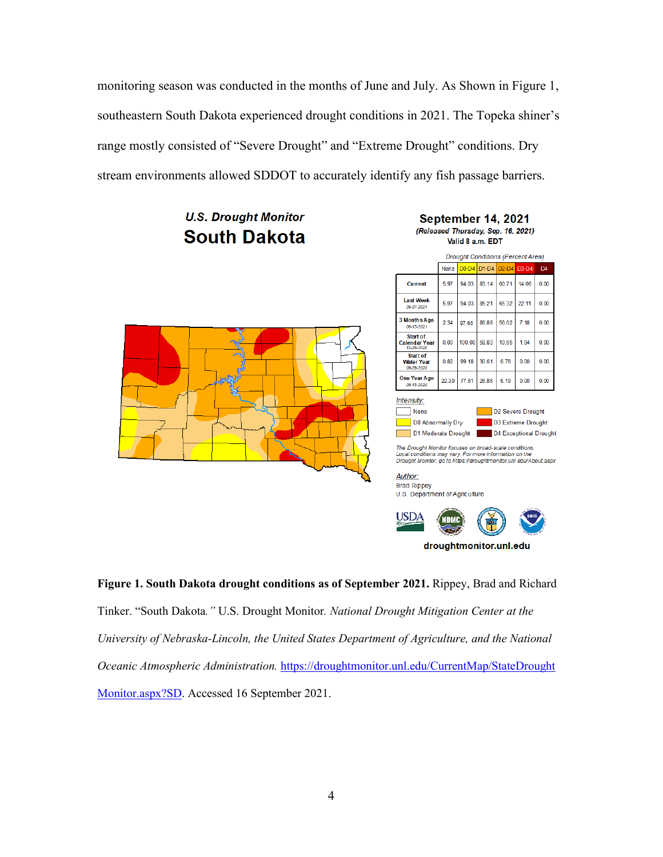monitoring season was conducted in the months of June and July. As Shown in Figure 1, southeastern South Dakota experienced drought conditions in 2021. The Topeka shiner's range mostly consisted of "Severe Drought" and "Extreme Drought" conditions. Dry stream environments allowed SDDOT to accurately identify any fish passage barriers.

# **U.S. Drought Monitor South Dakota**



#### September 14, 2021 (Released Thursday, Sep. 16, 2021) Valid 8 a.m. EDT





The Drought Monitor focuses on broad-scale conditions. The Distribution may vary. For more information on the<br>Drought Monitor, go to https://droughtmonitor.unl.edu/About.aspx

Author: **Brad Rippey** U.S. Department of Agriculture



**Figure 1. South Dakota drought conditions as of September 2021.** Rippey, Brad and Richard Tinker. "South Dakota*."* U.S. Drought Monitor*. National Drought Mitigation Center at the University of Nebraska-Lincoln, the United States Department of Agriculture, and the National Oceanic Atmospheric Administration.* [https://droughtmonitor.unl.edu/CurrentMap/StateDrought](https://droughtmonitor.unl.edu/CurrentMap/StateDrought%20Monitor.aspx?SD) [Monitor.aspx?SD.](https://droughtmonitor.unl.edu/CurrentMap/StateDrought%20Monitor.aspx?SD) Accessed 16 September 2021.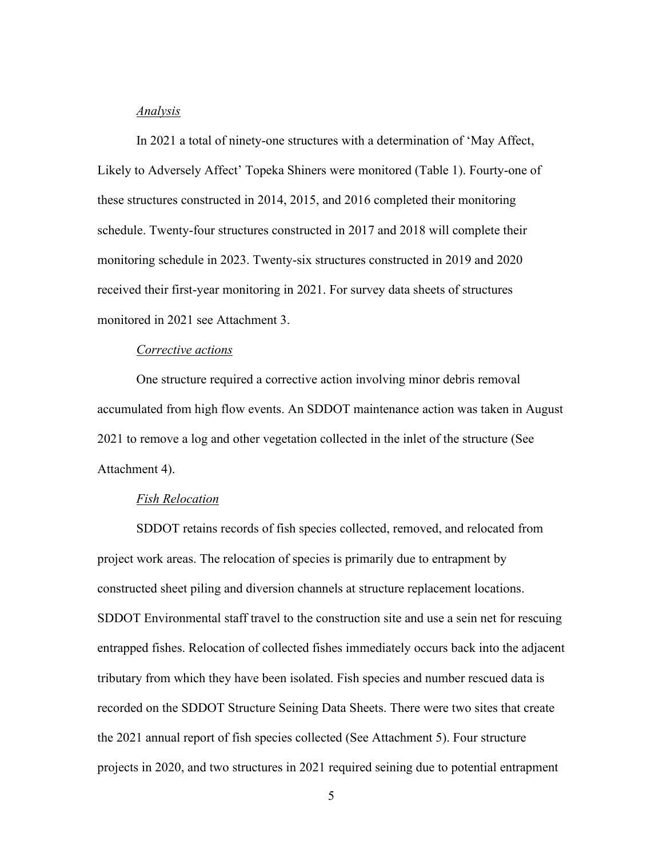### *Analysis*

In 2021 a total of ninety-one structures with a determination of 'May Affect, Likely to Adversely Affect' Topeka Shiners were monitored (Table 1). Fourty-one of these structures constructed in 2014, 2015, and 2016 completed their monitoring schedule. Twenty-four structures constructed in 2017 and 2018 will complete their monitoring schedule in 2023. Twenty-six structures constructed in 2019 and 2020 received their first-year monitoring in 2021. For survey data sheets of structures monitored in 2021 see Attachment 3.

### *Corrective actions*

One structure required a corrective action involving minor debris removal accumulated from high flow events. An SDDOT maintenance action was taken in August 2021 to remove a log and other vegetation collected in the inlet of the structure (See Attachment 4).

## *Fish Relocation*

SDDOT retains records of fish species collected, removed, and relocated from project work areas. The relocation of species is primarily due to entrapment by constructed sheet piling and diversion channels at structure replacement locations. SDDOT Environmental staff travel to the construction site and use a sein net for rescuing entrapped fishes. Relocation of collected fishes immediately occurs back into the adjacent tributary from which they have been isolated. Fish species and number rescued data is recorded on the SDDOT Structure Seining Data Sheets. There were two sites that create the 2021 annual report of fish species collected (See Attachment 5). Four structure projects in 2020, and two structures in 2021 required seining due to potential entrapment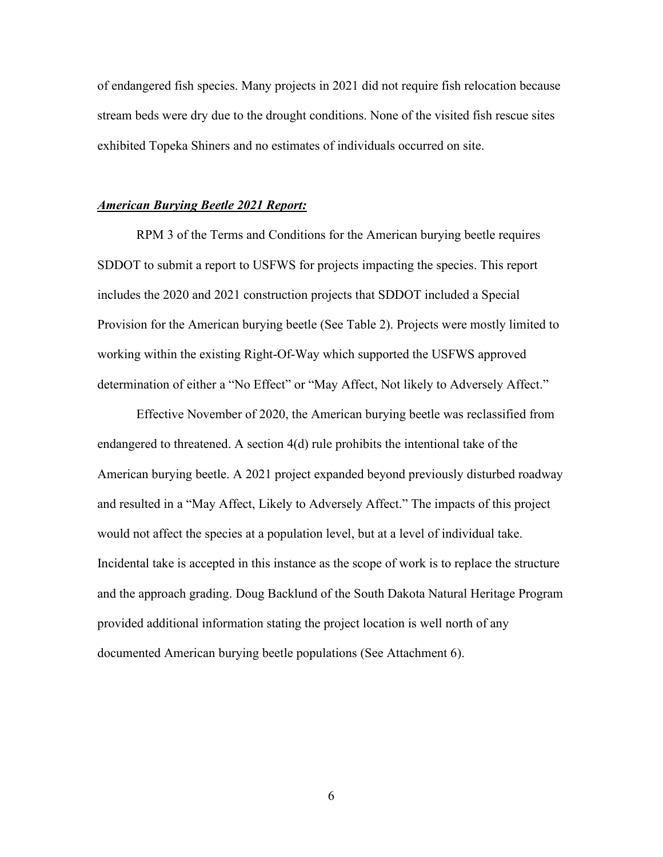of endangered fish species. Many projects in 2021 did not require fish relocation because stream beds were dry due to the drought conditions. None of the visited fish rescue sites exhibited Topeka Shiners and no estimates of individuals occurred on site.

### *American Burying Beetle 2021 Report:*

RPM 3 of the Terms and Conditions for the American burying beetle requires SDDOT to submit a report to USFWS for projects impacting the species. This report includes the 2020 and 2021 construction projects that SDDOT included a Special Provision for the American burying beetle (See Table 2). Projects were mostly limited to working within the existing Right-Of-Way which supported the USFWS approved determination of either a "No Effect" or "May Affect, Not likely to Adversely Affect."

Effective November of 2020, the American burying beetle was reclassified from endangered to threatened. A section 4(d) rule prohibits the intentional take of the American burying beetle. A 2021 project expanded beyond previously disturbed roadway and resulted in a "May Affect, Likely to Adversely Affect." The impacts of this project would not affect the species at a population level, but at a level of individual take. Incidental take is accepted in this instance as the scope of work is to replace the structure and the approach grading. Doug Backlund of the South Dakota Natural Heritage Program provided additional information stating the project location is well north of any documented American burying beetle populations (See Attachment 6).

6